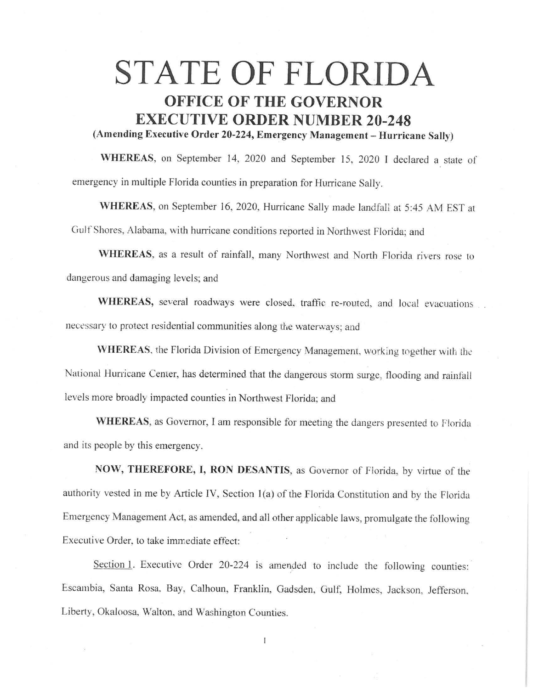## **STATE OF FLORIDA OFFICE OF THE GOVERNOR EXECUTIVE ORDER NUMBER 20-248 (Amending Executive Order 20-224, Emergency Management - Hurricane Sally)**

**WHEREAS,** on September 14, 2020 and September 15, 2020 I declared a state of emergency in multiple Florida counties in preparation for Hurricane Sally.

WHEREAS, on September 16, 2020, Hurricane Sally made landfall at 5:45 AM EST at Gulf Shores, Alabama, with hurricane conditions reported in Northwest Florida; and

**WHEREAS,** as a result of rainfall, many Northwest and North Florida rivers rose to dangerous and damaging levels; and

WHEREAS, several roadways were closed, traffic re-routed, and local evacuations necessary to protect residential communities along the waterways; and

WHEREAS, the Florida Division of Emergency Management, working together with the National Hurricane Center, has determined that the dangerous storm surge, flooding and rainfall levels more broadly impacted counties in Northwest Florida; and

**WHEREAS,** as Governor, I am responsible for meeting the dangers presented to Florida and its people by this emergency.

**NOW, THEREFORE, I, RON DESANTIS,** as Governor of Fiorida, by virtue of the authority vested in me by Article IV, Section 1(a) of the Florida Constitution and by the Florida Emergency Management Act, as amended, and all other applicable laws, promulgate the following Executive Order, to take immediate effect:

Section 1. Executive Order 20-224 is amended to include the following counties: Escambia, Santa Rosa. Bay, Calhoun, Franklin, Gadsden, Gulf, Holmes, Jackson, Jefferson. Liberty, Okaloosa, Walton. and Washington Counties.